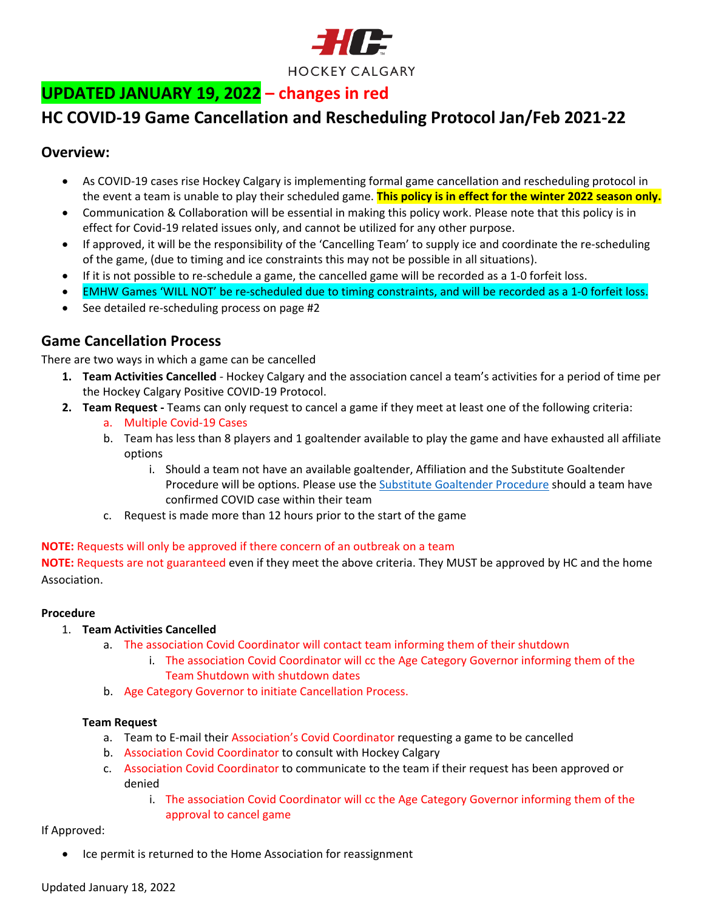

# **UPDATED JANUARY 19, 2022 – changes in red**

## **HC COVID-19 Game Cancellation and Rescheduling Protocol Jan/Feb 2021-22**

### **Overview:**

- As COVID-19 cases rise Hockey Calgary is implementing formal game cancellation and rescheduling protocol in the event a team is unable to play their scheduled game. **This policy is in effect for the winter 2022 season only.**
- Communication & Collaboration will be essential in making this policy work. Please note that this policy is in effect for Covid-19 related issues only, and cannot be utilized for any other purpose.
- If approved, it will be the responsibility of the 'Cancelling Team' to supply ice and coordinate the re-scheduling of the game, (due to timing and ice constraints this may not be possible in all situations).
- If it is not possible to re-schedule a game, the cancelled game will be recorded as a 1-0 forfeit loss.
- EMHW Games 'WILL NOT' be re-scheduled due to timing constraints, and will be recorded as a 1-0 forfeit loss.
- See detailed re-scheduling process on page #2

## **Game Cancellation Process**

There are two ways in which a game can be cancelled

- **1. Team Activities Cancelled** Hockey Calgary and the association cancel a team's activities for a period of time per the Hockey Calgary Positive COVID-19 Protocol.
- **2. Team Request -** Teams can only request to cancel a game if they meet at least one of the following criteria:
	- a. Multiple Covid-19 Cases
	- b. Team has less than 8 players and 1 goaltender available to play the game and have exhausted all affiliate options
		- i. Should a team not have an available goaltender, Affiliation and the Substitute Goaltender Procedure will be options. Please use the Substitute [Goaltender Procedure](https://www.hockeycalgary.ca/assets/file/Operations/Policies&Procedures/Hockey_Calgary_Substitute_Goaltender_Procedure.pdf) should a team have confirmed COVID case within their team
	- c. Request is made more than 12 hours prior to the start of the game

#### **NOTE:** Requests will only be approved if there concern of an outbreak on a team

**NOTE:** Requests are not guaranteed even if they meet the above criteria. They MUST be approved by HC and the home Association.

#### **Procedure**

#### 1. **Team Activities Cancelled**

- a. The association Covid Coordinator will contact team informing them of their shutdown
	- i. The association Covid Coordinator will cc the Age Category Governor informing them of the Team Shutdown with shutdown dates
- b. Age Category Governor to initiate Cancellation Process.

#### **Team Request**

- a. Team to E-mail their Association's Covid Coordinator requesting a game to be cancelled
- b. Association Covid Coordinator to consult with Hockey Calgary
- c. Association Covid Coordinator to communicate to the team if their request has been approved or denied
	- i. The association Covid Coordinator will cc the Age Category Governor informing them of the approval to cancel game

#### If Approved:

• Ice permit is returned to the Home Association for reassignment